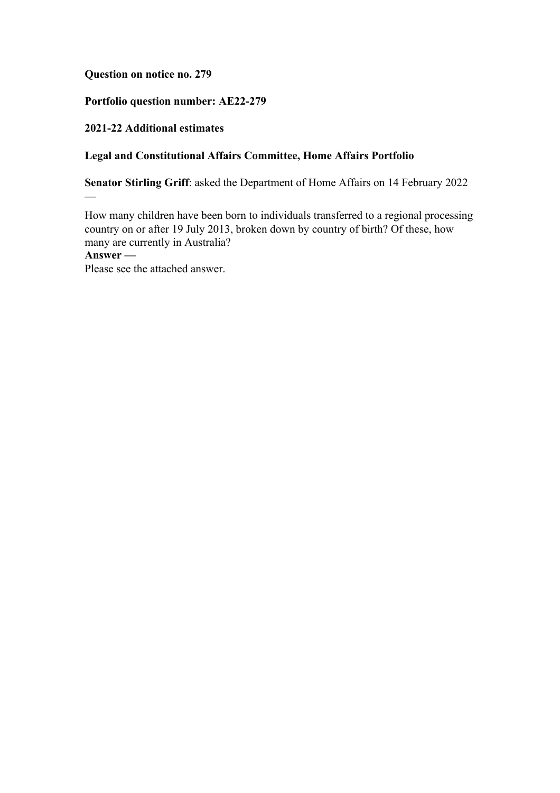**Question on notice no. 279**

# **Portfolio question number: AE22-279**

# **2021-22 Additional estimates**

—

# **Legal and Constitutional Affairs Committee, Home Affairs Portfolio**

**Senator Stirling Griff**: asked the Department of Home Affairs on 14 February 2022

How many children have been born to individuals transferred to a regional processing country on or after 19 July 2013, broken down by country of birth? Of these, how many are currently in Australia? **Answer —**

Please see the attached answer.